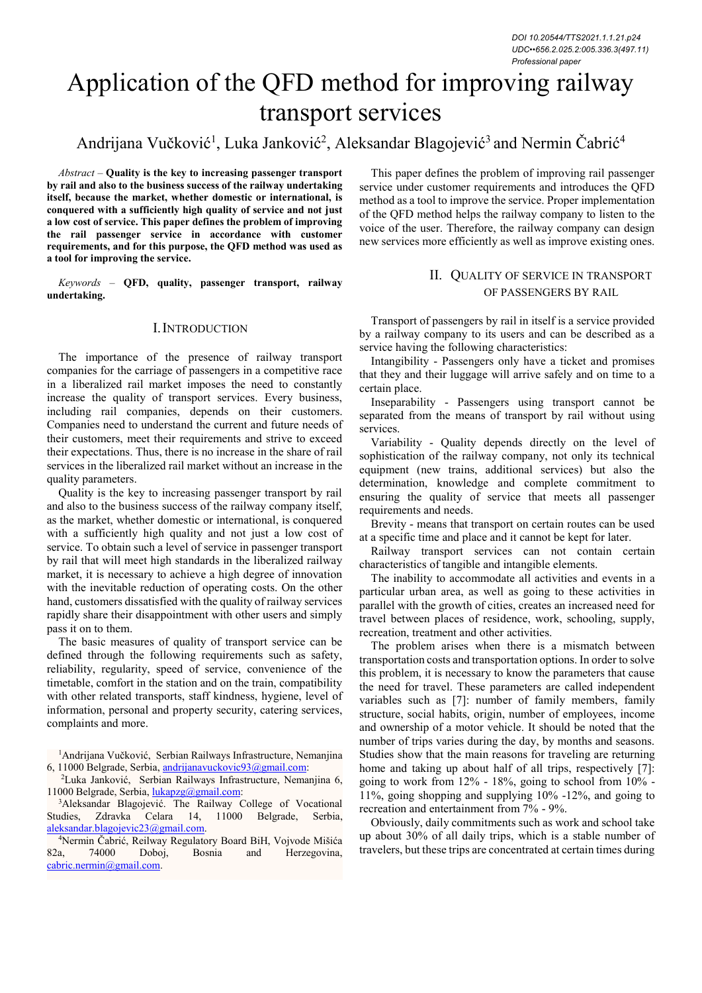# Application of the QFD method for improving railway transport services

# Andrijana Vučković<sup>1</sup>, Luka Janković<sup>2</sup>, Aleksandar Blagojević<sup>3</sup> and Nermin Čabrić<sup>4</sup>

*Abstract –* **Quality is the key to increasing passenger transport by rail and also to the business success of the railway undertaking itself, because the market, whether domestic or international, is conquered with a sufficiently high quality of service and not just a low cost of service. This paper defines the problem of improving the rail passenger service in accordance with customer requirements, and for this purpose, the QFD method was used as a tool for improving the service.** 

*Keywords –* **QFD, quality, passenger transport, railway undertaking.**

# I.INTRODUCTION

The importance of the presence of railway transport companies for the carriage of passengers in a competitive race in a liberalized rail market imposes the need to constantly increase the quality of transport services. Every business, including rail companies, depends on their customers. Companies need to understand the current and future needs of their customers, meet their requirements and strive to exceed their expectations. Thus, there is no increase in the share of rail services in the liberalized rail market without an increase in the quality parameters.

Quality is the key to increasing passenger transport by rail and also to the business success of the railway company itself, as the market, whether domestic or international, is conquered with a sufficiently high quality and not just a low cost of service. To obtain such a level of service in passenger transport by rail that will meet high standards in the liberalized railway market, it is necessary to achieve a high degree of innovation with the inevitable reduction of operating costs. On the other hand, customers dissatisfied with the quality of railway services rapidly share their disappointment with other users and simply pass it on to them.

The basic measures of quality of transport service can be defined through the following requirements such as safety, reliability, regularity, speed of service, convenience of the timetable, comfort in the station and on the train, compatibility with other related transports, staff kindness, hygiene, level of information, personal and property security, catering services, complaints and more.

<sup>1</sup>Andrijana Vučković, Serbian Railways Infrastructure, Nemanjina 6, 11000 Belgrade, Serbia, [andrijanavuckovic93@gmail.com:](mailto:andrijanavuckovic93@gmail.com)

<sup>2</sup>Luka Janković, Serbian Railways Infrastructure, Nemanjina 6, 11000 Belgrade, Serbia, [lukapzg@gmail.com:](mailto:lukapzg@gmail.com)

<sup>3</sup>Aleksandar Blagojević. The Railway College of Vocational Studies, Zdravka Celara 14, 11000 Belgrade, Serbia, [aleksandar.blagojevic23@gmail.com.](mailto:aleksandar.blagojevic23@gmail.com)

<sup>4</sup>Nermin Čabrić, Reilway Regulatory Board BiH, Vojvode Mišića 82a, 74000 Doboj, Bosnia and Herzegovina, [cabric.nermin@gmail.com.](mailto:cabric.nermin@gmail.com)

This paper defines the problem of improving rail passenger service under customer requirements and introduces the QFD method as a tool to improve the service. Proper implementation of the QFD method helps the railway company to listen to the voice of the user. Therefore, the railway company can design new services more efficiently as well as improve existing ones.

## II. QUALITY OF SERVICE IN TRANSPORT OF PASSENGERS BY RAIL

Transport of passengers by rail in itself is a service provided by a railway company to its users and can be described as a service having the following characteristics:

Intangibility - Passengers only have a ticket and promises that they and their luggage will arrive safely and on time to a certain place.

Inseparability - Passengers using transport cannot be separated from the means of transport by rail without using services.

Variability - Quality depends directly on the level of sophistication of the railway company, not only its technical equipment (new trains, additional services) but also the determination, knowledge and complete commitment to ensuring the quality of service that meets all passenger requirements and needs.

Brevity - means that transport on certain routes can be used at a specific time and place and it cannot be kept for later.

Railway transport services can not contain certain characteristics of tangible and intangible elements.

The inability to accommodate all activities and events in a particular urban area, as well as going to these activities in parallel with the growth of cities, creates an increased need for travel between places of residence, work, schooling, supply, recreation, treatment and other activities.

The problem arises when there is a mismatch between transportation costs and transportation options. In order to solve this problem, it is necessary to know the parameters that cause the need for travel. These parameters are called independent variables such as [7]: number of family members, family structure, social habits, origin, number of employees, income and ownership of a motor vehicle. It should be noted that the number of trips varies during the day, by months and seasons. Studies show that the main reasons for traveling are returning home and taking up about half of all trips, respectively [7]: going to work from  $12\%$  -  $18\%$ , going to school from  $10\%$  -11%, going shopping and supplying 10% -12%, and going to recreation and entertainment from 7% - 9%.

Obviously, daily commitments such as work and school take up about 30% of all daily trips, which is a stable number of travelers, but these trips are concentrated at certain times during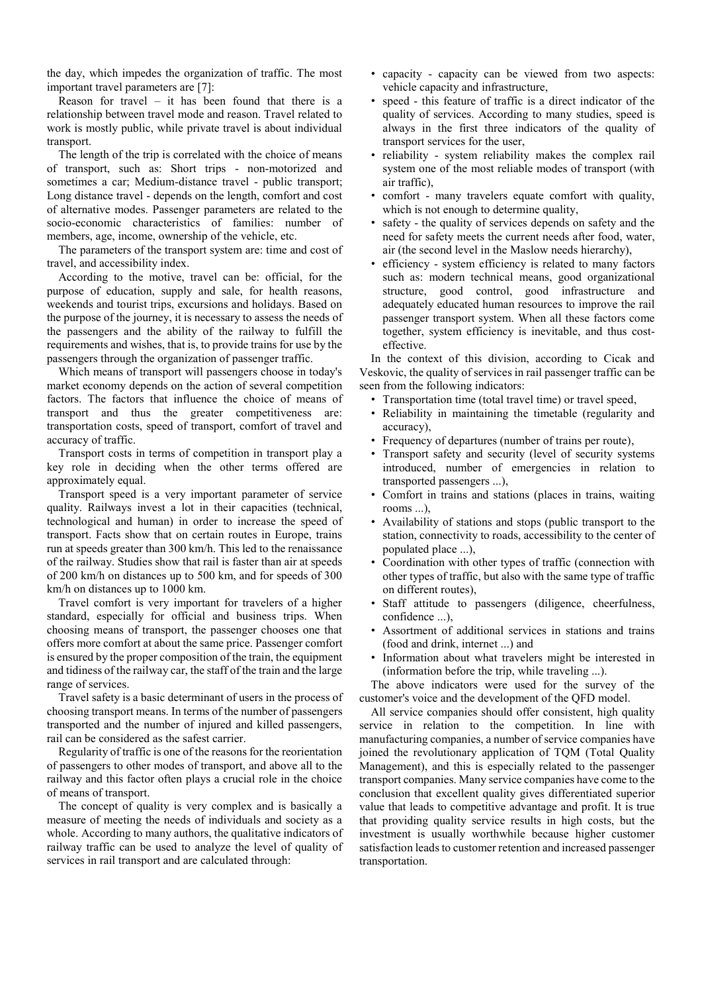the day, which impedes the organization of traffic. The most important travel parameters are [7]:

Reason for travel  $-$  it has been found that there is a relationship between travel mode and reason. Travel related to work is mostly public, while private travel is about individual transport.

The length of the trip is correlated with the choice of means of transport, such as: Short trips - non-motorized and sometimes a car; Medium-distance travel - public transport; Long distance travel - depends on the length, comfort and cost of alternative modes. Passenger parameters are related to the socio-economic characteristics of families: number of members, age, income, ownership of the vehicle, etc.

The parameters of the transport system are: time and cost of travel, and accessibility index.

According to the motive, travel can be: official, for the purpose of education, supply and sale, for health reasons, weekends and tourist trips, excursions and holidays. Based on the purpose of the journey, it is necessary to assess the needs of the passengers and the ability of the railway to fulfill the requirements and wishes, that is, to provide trains for use by the passengers through the organization of passenger traffic.

Which means of transport will passengers choose in today's market economy depends on the action of several competition factors. The factors that influence the choice of means of transport and thus the greater competitiveness are: transportation costs, speed of transport, comfort of travel and accuracy of traffic.

Transport costs in terms of competition in transport play a key role in deciding when the other terms offered are approximately equal.

Transport speed is a very important parameter of service quality. Railways invest a lot in their capacities (technical, technological and human) in order to increase the speed of transport. Facts show that on certain routes in Europe, trains run at speeds greater than 300 km/h. This led to the renaissance of the railway. Studies show that rail is faster than air at speeds of 200 km/h on distances up to 500 km, and for speeds of 300 km/h on distances up to 1000 km.

Travel comfort is very important for travelers of a higher standard, especially for official and business trips. When choosing means of transport, the passenger chooses one that offers more comfort at about the same price. Passenger comfort is ensured by the proper composition of the train, the equipment and tidiness of the railway car, the staff of the train and the large range of services.

Travel safety is a basic determinant of users in the process of choosing transport means. In terms of the number of passengers transported and the number of injured and killed passengers, rail can be considered as the safest carrier.

Regularity of traffic is one of the reasons for the reorientation of passengers to other modes of transport, and above all to the railway and this factor often plays a crucial role in the choice of means of transport.

The concept of quality is very complex and is basically a measure of meeting the needs of individuals and society as a whole. According to many authors, the qualitative indicators of railway traffic can be used to analyze the level of quality of services in rail transport and are calculated through:

- capacity capacity can be viewed from two aspects: vehicle capacity and infrastructure,
- speed this feature of traffic is a direct indicator of the quality of services. According to many studies, speed is always in the first three indicators of the quality of transport services for the user,
- reliability system reliability makes the complex rail system one of the most reliable modes of transport (with air traffic),
- comfort many travelers equate comfort with quality, which is not enough to determine quality,
- safety the quality of services depends on safety and the need for safety meets the current needs after food, water, air (the second level in the Maslow needs hierarchy),
- efficiency system efficiency is related to many factors such as: modern technical means, good organizational structure, good control, good infrastructure and adequately educated human resources to improve the rail passenger transport system. When all these factors come together, system efficiency is inevitable, and thus costeffective.

In the context of this division, according to Cicak and Veskovic, the quality of services in rail passenger traffic can be seen from the following indicators:

- Transportation time (total travel time) or travel speed,
- Reliability in maintaining the timetable (regularity and accuracy),
- Frequency of departures (number of trains per route),
- Transport safety and security (level of security systems introduced, number of emergencies in relation to transported passengers ...),
- Comfort in trains and stations (places in trains, waiting rooms ...),
- Availability of stations and stops (public transport to the station, connectivity to roads, accessibility to the center of populated place ...),
- Coordination with other types of traffic (connection with other types of traffic, but also with the same type of traffic on different routes),
- Staff attitude to passengers (diligence, cheerfulness, confidence ...),
- Assortment of additional services in stations and trains (food and drink, internet ...) and
- Information about what travelers might be interested in (information before the trip, while traveling ...).

The above indicators were used for the survey of the customer's voice and the development of the QFD model.

All service companies should offer consistent, high quality service in relation to the competition. In line with manufacturing companies, a number of service companies have joined the revolutionary application of TQM (Total Quality Management), and this is especially related to the passenger transport companies. Many service companies have come to the conclusion that excellent quality gives differentiated superior value that leads to competitive advantage and profit. It is true that providing quality service results in high costs, but the investment is usually worthwhile because higher customer satisfaction leads to customer retention and increased passenger transportation.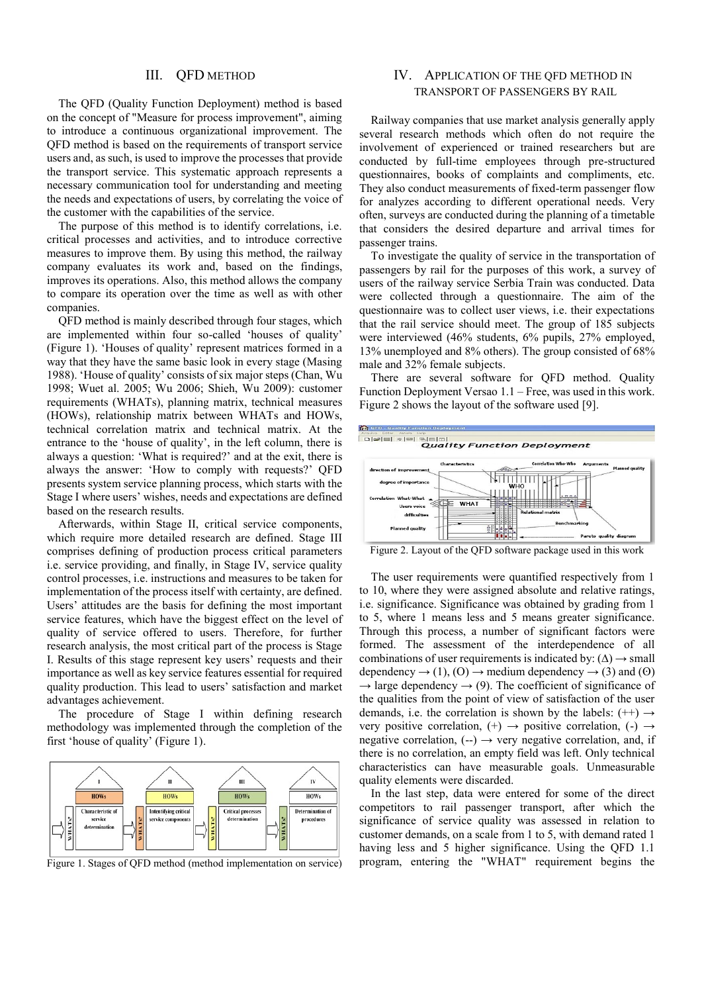#### III. QFD METHOD

The QFD (Quality Function Deployment) method is based on the concept of "Measure for process improvement", aiming to introduce a continuous organizational improvement. The QFD method is based on the requirements of transport service users and, as such, is used to improve the processes that provide the transport service. This systematic approach represents a necessary communication tool for understanding and meeting the needs and expectations of users, by correlating the voice of the customer with the capabilities of the service.

The purpose of this method is to identify correlations, i.e. critical processes and activities, and to introduce corrective measures to improve them. By using this method, the railway company evaluates its work and, based on the findings, improves its operations. Also, this method allows the company to compare its operation over the time as well as with other companies.

QFD method is mainly described through four stages, which are implemented within four so-called 'houses of quality' (Figure 1). 'Houses of quality' represent matrices formed in a way that they have the same basic look in every stage (Masing 1988). 'House of quality' consists of six major steps (Chan, Wu 1998; Wuet al. 2005; Wu 2006; Shieh, Wu 2009): customer requirements (WHATs), planning matrix, technical measures (HOWs), relationship matrix between WHATs and HOWs, technical correlation matrix and technical matrix. At the entrance to the 'house of quality', in the left column, there is always a question: 'What is required?' and at the exit, there is always the answer: 'How to comply with requests?' QFD presents system service planning process, which starts with the Stage I where users' wishes, needs and expectations are defined based on the research results.

Afterwards, within Stage II, critical service components, which require more detailed research are defined. Stage III comprises defining of production process critical parameters i.e. service providing, and finally, in Stage IV, service quality control processes, i.e. instructions and measures to be taken for implementation of the process itself with certainty, are defined. Users' attitudes are the basis for defining the most important service features, which have the biggest effect on the level of quality of service offered to users. Therefore, for further research analysis, the most critical part of the process is Stage I. Results of this stage represent key users' requests and their importance as well as key service features essential for required quality production. This lead to users' satisfaction and market advantages achievement.

The procedure of Stage I within defining research methodology was implemented through the completion of the first 'house of quality' (Figure 1).



Figure 1. Stages of QFD method (method implementation on service)

# IV. APPLICATION OF THE QFD METHOD IN TRANSPORT OF PASSENGERS BY RAIL

Railway companies that use market analysis generally apply several research methods which often do not require the involvement of experienced or trained researchers but are conducted by full-time employees through pre-structured questionnaires, books of complaints and compliments, etc. They also conduct measurements of fixed-term passenger flow for analyzes according to different operational needs. Very often, surveys are conducted during the planning of a timetable that considers the desired departure and arrival times for passenger trains.

To investigate the quality of service in the transportation of passengers by rail for the purposes of this work, a survey of users of the railway service Serbia Train was conducted. Data were collected through a questionnaire. The aim of the questionnaire was to collect user views, i.e. their expectations that the rail service should meet. The group of 185 subjects were interviewed (46% students, 6% pupils, 27% employed, 13% unemployed and 8% others). The group consisted of 68% male and 32% female subjects.

There are several software for QFD method. Quality Function Deployment Versao 1.1 – Free, was used in this work. Figure 2 shows the layout of the software used [9].



Figure 2. Layout of the QFD software package used in this work

The user requirements were quantified respectively from 1 to 10, where they were assigned absolute and relative ratings, i.e. significance. Significance was obtained by grading from 1 to 5, where 1 means less and 5 means greater significance. Through this process, a number of significant factors were formed. The assessment of the interdependence of all combinations of user requirements is indicated by:  $(\Delta) \rightarrow$  small dependency  $\rightarrow$  (1), (O)  $\rightarrow$  medium dependency  $\rightarrow$  (3) and (O)  $\rightarrow$  large dependency  $\rightarrow$  (9). The coefficient of significance of the qualities from the point of view of satisfaction of the user demands, i.e. the correlation is shown by the labels:  $(++) \rightarrow$ very positive correlation,  $(+) \rightarrow$  positive correlation,  $(-) \rightarrow$ negative correlation,  $(-) \rightarrow \text{very negative correlation},$  and, if there is no correlation, an empty field was left. Only technical characteristics can have measurable goals. Unmeasurable quality elements were discarded.

In the last step, data were entered for some of the direct competitors to rail passenger transport, after which the significance of service quality was assessed in relation to customer demands, on a scale from 1 to 5, with demand rated 1 having less and 5 higher significance. Using the QFD 1.1 program, entering the "WHAT" requirement begins the